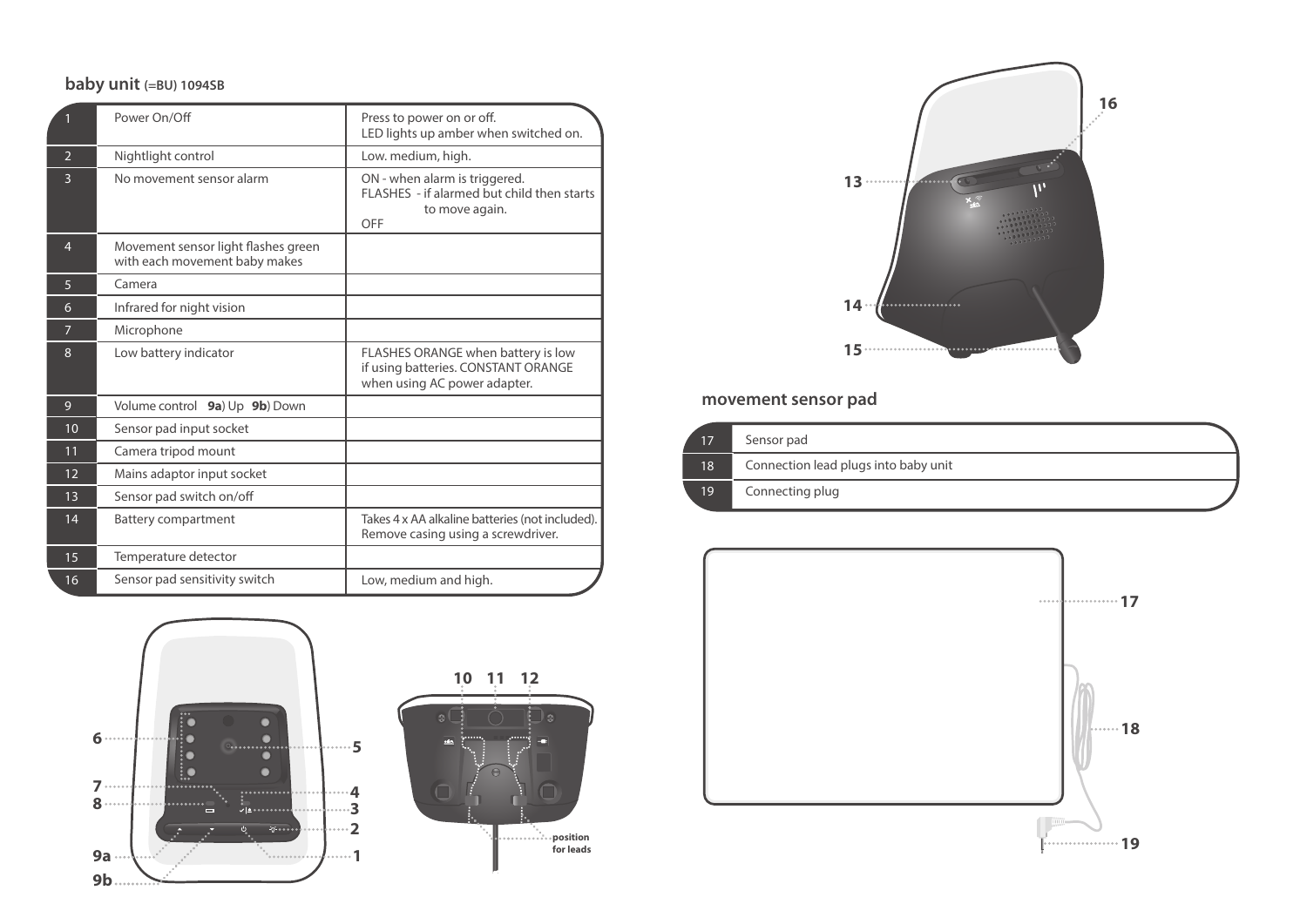### **baby unit (=BU) 1094SB**

|                | Power On/Off                                                         | Press to power on or off.<br>LED lights up amber when switched on.                                        |
|----------------|----------------------------------------------------------------------|-----------------------------------------------------------------------------------------------------------|
| $\overline{2}$ | Nightlight control                                                   | Low. medium, high.                                                                                        |
| 3              | No movement sensor alarm                                             | ON - when alarm is triggered.<br>FLASHES - if alarmed but child then starts<br>to move again.<br>OFF      |
| $\overline{4}$ | Movement sensor light flashes green<br>with each movement baby makes |                                                                                                           |
| 5              | Camera                                                               |                                                                                                           |
| 6              | Infrared for night vision                                            |                                                                                                           |
| 7              | Microphone                                                           |                                                                                                           |
| 8              | Low battery indicator                                                | FLASHES ORANGE when battery is low<br>if using batteries. CONSTANT ORANGE<br>when using AC power adapter. |
| 9              | Volume control<br>9a) Up 9b) Down                                    |                                                                                                           |
| 10             | Sensor pad input socket                                              |                                                                                                           |
| 11             | Camera tripod mount                                                  |                                                                                                           |
| 12             | Mains adaptor input socket                                           |                                                                                                           |
| 13             | Sensor pad switch on/off                                             |                                                                                                           |
| 14             | <b>Battery compartment</b>                                           | Takes 4 x AA alkaline batteries (not included).<br>Remove casing using a screwdriver.                     |
| 15             | Temperature detector                                                 |                                                                                                           |
| 16             | Sensor pad sensitivity switch                                        | Low, medium and high.                                                                                     |







### **movement sensor pad**

17 18 19 Sensor pad Connection lead plugs into baby unit Connecting plug

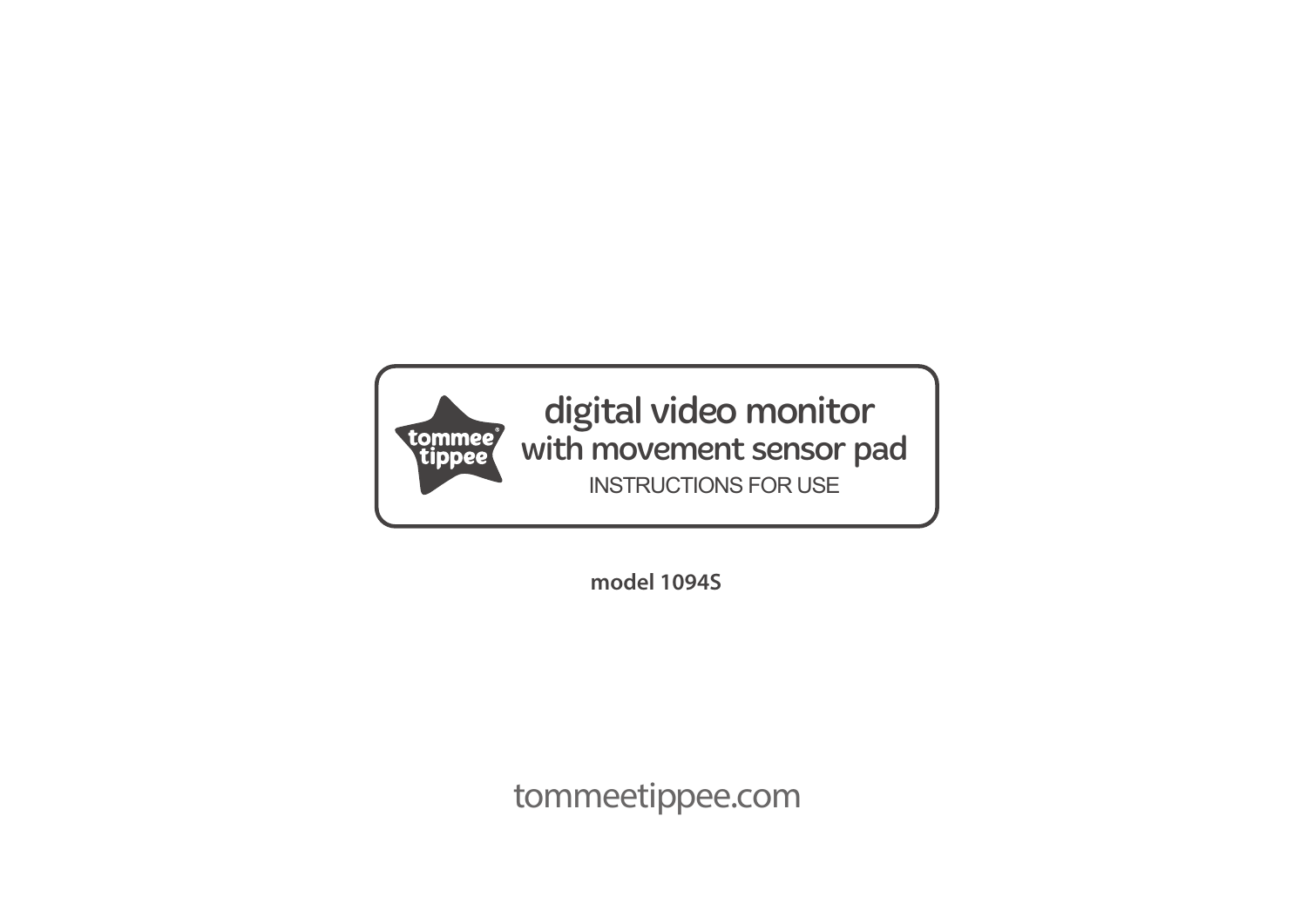

digital video monitor with movement sensor pad INSTRUCTIONS FOR USE

**model 1094S**

tommeetippee.com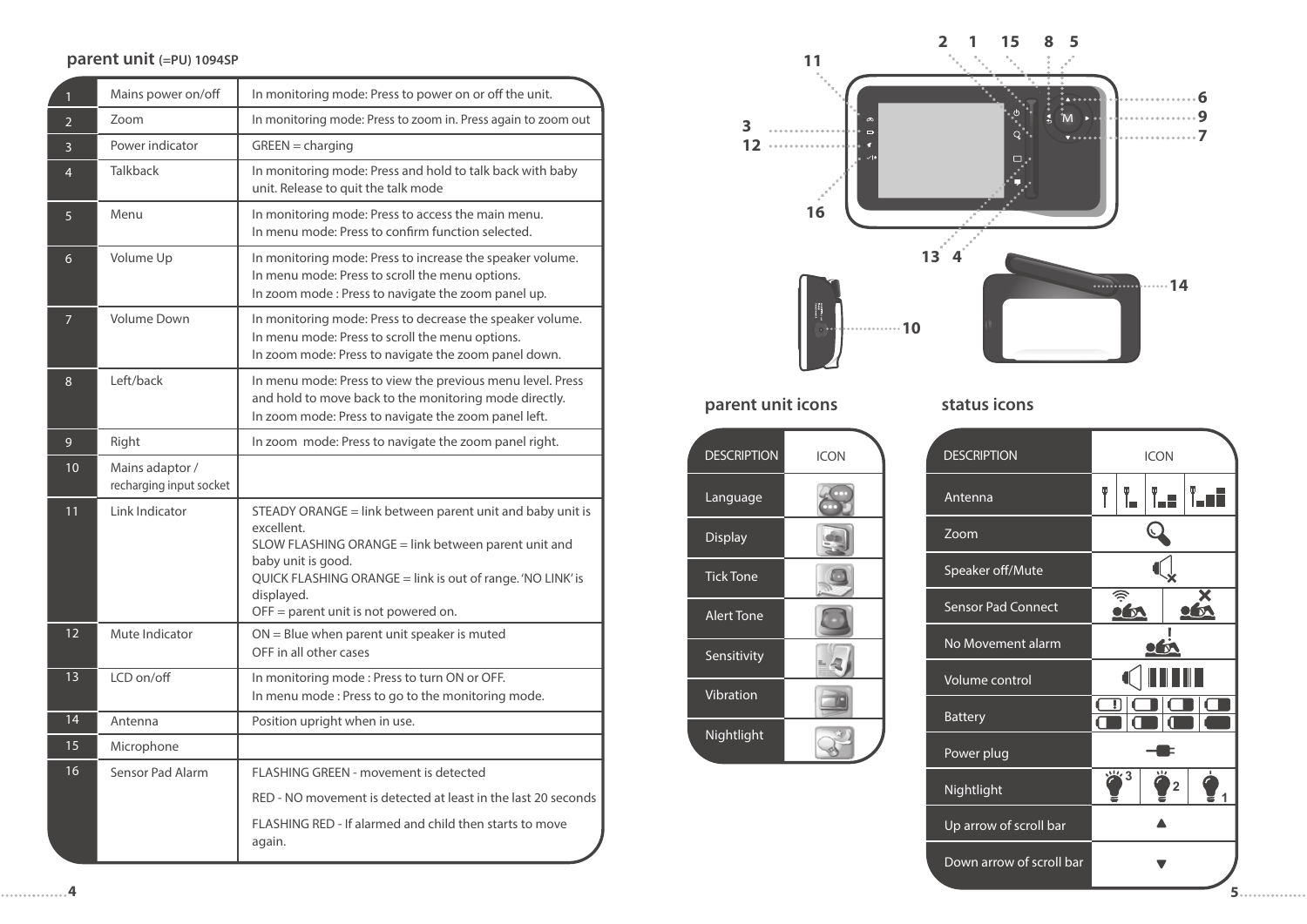#### **parent unit (=PU) 1094SP**

| $\mathbf{1}$    | Mains power on/off                         | In monitoring mode: Press to power on or off the unit.                                                                                                                                                                                                                     |
|-----------------|--------------------------------------------|----------------------------------------------------------------------------------------------------------------------------------------------------------------------------------------------------------------------------------------------------------------------------|
| $\overline{2}$  | Zoom                                       | In monitoring mode: Press to zoom in. Press again to zoom out                                                                                                                                                                                                              |
| 3               | Power indicator                            | $GREEN = charging$                                                                                                                                                                                                                                                         |
| $\overline{4}$  | <b>Talkback</b>                            | In monitoring mode: Press and hold to talk back with baby<br>unit. Release to quit the talk mode                                                                                                                                                                           |
| 5               | Menu                                       | In monitoring mode: Press to access the main menu.<br>In menu mode: Press to confirm function selected.                                                                                                                                                                    |
| 6               | Volume Up                                  | In monitoring mode: Press to increase the speaker volume.<br>In menu mode: Press to scroll the menu options.<br>In zoom mode: Press to navigate the zoom panel up.                                                                                                         |
| $\overline{7}$  | <b>Volume Down</b>                         | In monitoring mode: Press to decrease the speaker volume.<br>In menu mode: Press to scroll the menu options.<br>In zoom mode: Press to navigate the zoom panel down.                                                                                                       |
| 8               | Left/back                                  | In menu mode: Press to view the previous menu level. Press<br>and hold to move back to the monitoring mode directly.<br>In zoom mode: Press to navigate the zoom panel left.                                                                                               |
| 9               | Right                                      | In zoom mode: Press to navigate the zoom panel right.                                                                                                                                                                                                                      |
| 10 <sup>°</sup> | Mains adaptor /<br>recharging input socket |                                                                                                                                                                                                                                                                            |
| 11              | Link Indicator                             | STEADY ORANGE = link between parent unit and baby unit is<br>excellent.<br>SLOW FLASHING ORANGE = link between parent unit and<br>baby unit is good.<br>QUICK FLASHING ORANGE = link is out of range. 'NO LINK' is<br>displayed.<br>$OFF =$ parent unit is not powered on. |
| 12              | Mute Indicator                             | ON = Blue when parent unit speaker is muted<br>OFF in all other cases                                                                                                                                                                                                      |
| 13              | LCD on/off                                 | In monitoring mode: Press to turn ON or OFF.<br>In menu mode: Press to go to the monitoring mode.                                                                                                                                                                          |
| 14              | Antenna                                    | Position upright when in use.                                                                                                                                                                                                                                              |
| 15              | Microphone                                 |                                                                                                                                                                                                                                                                            |
| 16              | Sensor Pad Alarm                           | FLASHING GREEN - movement is detected                                                                                                                                                                                                                                      |
|                 |                                            | RED - NO movement is detected at least in the last 20 seconds                                                                                                                                                                                                              |
|                 |                                            | FLASHING RED - If alarmed and child then starts to move<br>again.                                                                                                                                                                                                          |

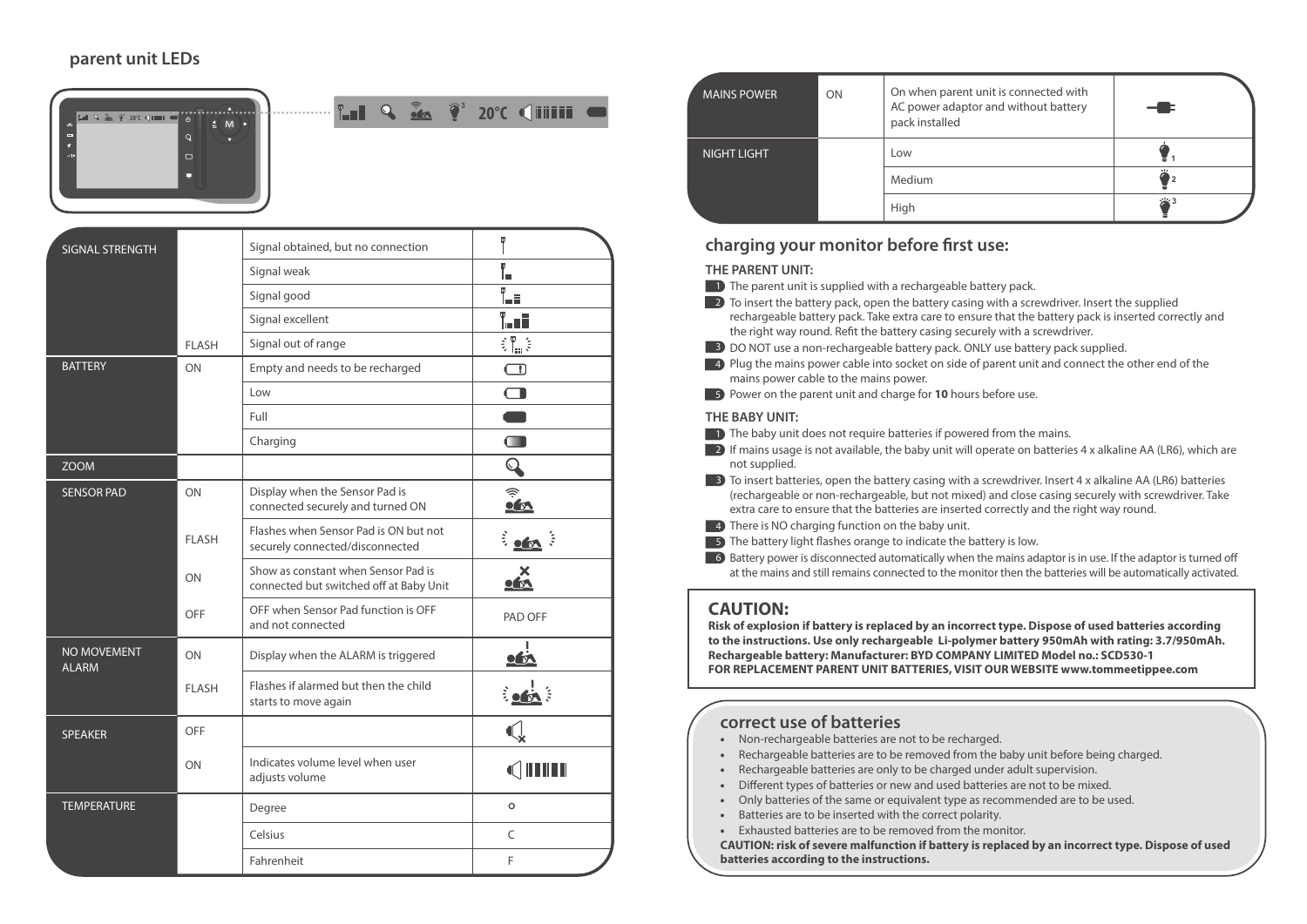### **parent unit LEDs**



| SIGNAL STRENGTH             |              | Signal obtained, but no connection                                             | Ŧ                               |
|-----------------------------|--------------|--------------------------------------------------------------------------------|---------------------------------|
|                             |              | Signal weak                                                                    | Ō.<br>lш                        |
|                             |              | Signal good                                                                    | T.                              |
|                             |              | Signal excellent                                                               | T. oli                          |
|                             | <b>FLASH</b> | Signal out of range                                                            | 訓ま                              |
| <b>BATTERY</b>              | ON           | Empty and needs to be recharged                                                | $\Box$                          |
|                             |              | Low                                                                            | $\Box$                          |
|                             |              | Full                                                                           |                                 |
|                             |              | Charging                                                                       | $\square$                       |
| <b>ZOOM</b>                 |              |                                                                                | $\bf{Q}$                        |
| <b>SENSOR PAD</b>           | ON           | Display when the Sensor Pad is<br>connected securely and turned ON             | $\widehat{\tilde{\mathcal{C}}}$ |
|                             | <b>FLASH</b> | Flashes when Sensor Pad is ON but not<br>securely connected/disconnected       | $\frac{1}{2}$ of $\frac{1}{2}$  |
|                             | ON           | Show as constant when Sensor Pad is<br>connected but switched off at Baby Unit | $\sum_{n=1}^{\infty}$           |
|                             | OFF          | OFF when Sensor Pad function is OFF<br>and not connected                       | PAD OFF                         |
| NO MOVEMENT<br><b>ALARM</b> | ON           | Display when the ALARM is triggered                                            | $\sqrt{N}$                      |
|                             | <b>FLASH</b> | Flashes if alarmed but then the child<br>starts to move again                  | $\frac{1}{2}$                   |
| <b>SPEAKER</b>              | OFF          |                                                                                |                                 |
|                             | ON           | Indicates volume level when user<br>adjusts volume                             | Œ                               |
| <b>TEMPERATURE</b>          |              | Degree                                                                         | $\circ$                         |
|                             |              | Celsius                                                                        | C                               |
|                             |              | Fahrenheit                                                                     | F                               |

| <b>MAINS POWER</b> | ON | On when parent unit is connected with<br>AC power adaptor and without battery<br>pack installed |           |
|--------------------|----|-------------------------------------------------------------------------------------------------|-----------|
| <b>NIGHT LIGHT</b> |    | Low                                                                                             |           |
|                    |    | Medium                                                                                          | 111<br>'2 |
|                    |    | High                                                                                            |           |

#### charging your monitor before first use:

#### **THE PARENT UNIT:**

- $\Box$  The parent unit is supplied with a rechargeable battery pack.
- $\Box$  2 To insert the battery pack, open the battery casing with a screwdriver. Insert the supplied rechargeable battery pack. Take extra care to ensure that the battery pack is inserted correctly and the right way round. Refit the battery casing securely with a screwdriver.
- **3** DO NOT use a non-rechargeable battery pack. ONLY use battery pack supplied.
- **4)** Plug the mains power cable into socket on side of parent unit and connect the other end of the mains power cable to the mains power.
- **5** Power on the parent unit and charge for **10** hours before use.

#### **THE BABY UNIT:**

- $\blacksquare$  The baby unit does not require batteries if powered from the mains.
- $\blacksquare$  2) If mains usage is not available, the baby unit will operate on batteries 4 x alkaline AA (LR6), which are not supplied.
- **3** To insert batteries, open the battery casing with a screwdriver. Insert 4 x alkaline AA (LR6) batteries (rechargeable or non-rechargeable, but not mixed) and close casing securely with screwdriver. Take extra care to ensure that the batteries are inserted correctly and the right way round.
- **4** There is NO charging function on the baby unit.
- $\Box$  The battery light flashes orange to indicate the battery is low.
- $6$  Battery power is disconnected automatically when the mains adaptor is in use. If the adaptor is turned off at the mains and still remains connected to the monitor then the batteries will be automatically activated.

#### **CAUTION:**

**Risk of explosion if battery is replaced by an incorrect type. Dispose of used batteries according to the instructions. Use only rechargeable Li-polymer battery 950mAh with rating: 3.7/950mAh. Rechargeable battery: Manufacturer: BYD COMPANY LIMITED Model no.: SCD530-1 FOR REPLACEMENT PARENT UNIT BATTERIES, VISIT OUR WEBSITE www.tommeetippee.com** 

### **correct use of batteries**

- Non-rechargeable batteries are not to be recharged.
- Rechargeable batteries are to be removed from the baby unit before being charged.
- Rechargeable batteries are only to be charged under adult supervision.
- Different types of batteries or new and used batteries are not to be mixed.
- Only batteries of the same or equivalent type as recommended are to be used.
- Batteries are to be inserted with the correct polarity.
- Exhausted batteries are to be removed from the monitor.

**CAUTION: risk of severe malfunction if battery is replaced by an incorrect type. Dispose of used batteries according to the instructions.**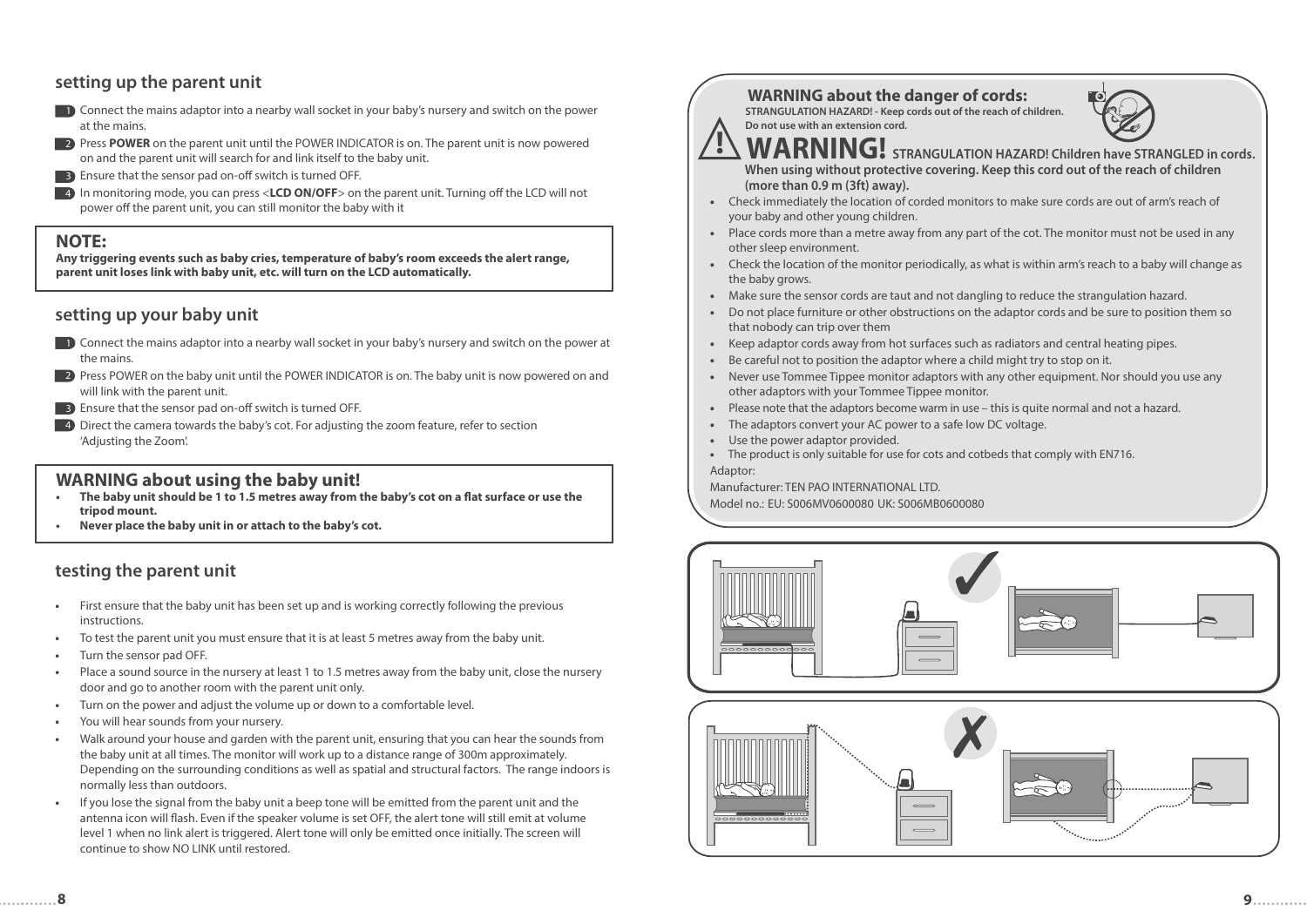### **setting up the parent unit**



- **2** Press POWER on the parent unit until the POWER INDICATOR is on. The parent unit is now powered on and the parent unit will search for and link itself to the baby unit.
- **B** Ensure that the sensor pad on-off switch is turned OFF.
- **4** In monitoring mode, you can press <**LCD ON/OFF**> on the parent unit. Turning off the LCD will not power off the parent unit, you can still monitor the baby with it

#### **NOTE:**

**Any triggering events such as baby cries, temperature of baby's room exceeds the alert range, parent unit loses link with baby unit, etc. will turn on the LCD automatically.**

### **setting up your baby unit**

- Connect the mains adaptor into a nearby wall socket in your baby's nursery and switch on the power at 1 the mains.
- 2) Press POWER on the baby unit until the POWER INDICATOR is on. The baby unit is now powered on and will link with the parent unit.
- **B** Ensure that the sensor pad on-off switch is turned OFF.
- **4** Direct the camera towards the baby's cot. For adjusting the zoom feature, refer to section 'Adjusting the Zoom'.

#### **WARNING about using the baby unit!**

- **•** The baby unit should be 1 to 1.5 metres away from the baby's cot on a flat surface or use the  **tripod mount.**
- **Never place the baby unit in or attach to the baby's cot.**

### **testing the parent unit**

- **•** First ensure that the baby unit has been set up and is working correctly following the previous instructions.
- **•** To test the parent unit you must ensure that it is at least 5 metres away from the baby unit.
- **•** Turn the sensor pad OFF.
- **•** Place a sound source in the nursery at least 1 to 1.5 metres away from the baby unit, close the nursery door and go to another room with the parent unit only.
- **•** Turn on the power and adjust the volume up or down to a comfortable level.
- **•** You will hear sounds from your nursery.
- **•** Walk around your house and garden with the parent unit, ensuring that you can hear the sounds from the baby unit at all times. The monitor will work up to a distance range of 300m approximately. Depending on the surrounding conditions as well as spatial and structural factors. The range indoors is normally less than outdoors.
- **•** If you lose the signal from the baby unit a beep tone will be emitted from the parent unit and the antenna icon will flash. Even if the speaker volume is set OFF, the alert tone will still emit at volume level 1 when no link alert is triggered. Alert tone will only be emitted once initially. The screen will continue to show NO LINK until restored.

# **WARNING about the danger of cords:** *STRANGULATION HAZARD!* - Keep cords out of the reach of children.

 **Do not use with an extension cord.**



 **WARNING! STRANGULATION HAZARD! Children have STRANGLED in cords. When using without protective covering. Keep this cord out of the reach of children (more than 0.9 m (3ft) away).** 

- Check immediately the location of corded monitors to make sure cords are out of arm's reach of your baby and other young children.
- Place cords more than a metre away from any part of the cot. The monitor must not be used in any other sleep environment.
- Check the location of the monitor periodically, as what is within arm's reach to a baby will change as the baby grows.
- Make sure the sensor cords are taut and not dangling to reduce the strangulation hazard.
- Do not place furniture or other obstructions on the adaptor cords and be sure to position them so that nobody can trip over them
- Keep adaptor cords away from hot surfaces such as radiators and central heating pipes.
- Be careful not to position the adaptor where a child might try to stop on it.
- Never use Tommee Tippee monitor adaptors with any other equipment. Nor should you use any other adaptors with your Tommee Tippee monitor.
- Please note that the adaptors become warm in use this is quite normal and not a hazard.
- The adaptors convert your AC power to a safe low DC voltage.
- Use the power adaptor provided.
- The product is only suitable for use for cots and cotbeds that comply with EN716.
- Adaptor:

Manufacturer: TEN PAO INTERNATIONAL LTD.

Model no.: EU: S006MV0600080 UK: S006MB0600080

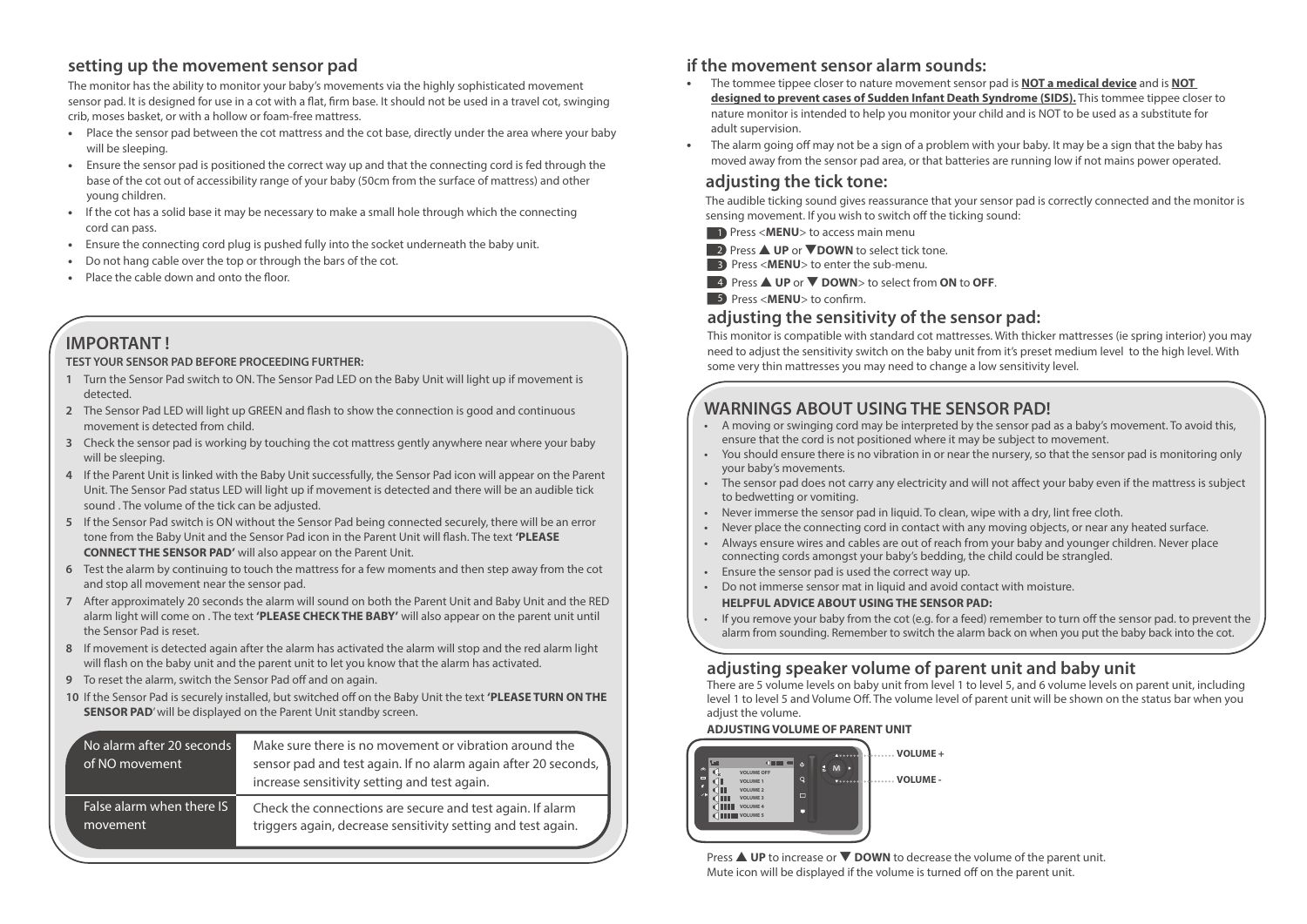### **setting up the movement sensor pad**

The monitor has the ability to monitor your baby's movements via the highly sophisticated movement sensor pad. It is designed for use in a cot with a flat, firm base. It should not be used in a travel cot, swinging crib, moses basket, or with a hollow or foam-free mattress.

- Place the sensor pad between the cot mattress and the cot base, directly under the area where your baby will be sleeping.
- Ensure the sensor pad is positioned the correct way up and that the connecting cord is fed through the base of the cot out of accessibility range of your baby (50cm from the surface of mattress) and other young children.
- If the cot has a solid base it may be necessary to make a small hole through which the connecting cord can pass.
- Ensure the connecting cord plug is pushed fully into the socket underneath the baby unit.
- Do not hang cable over the top or through the bars of the cot.
- Place the cable down and onto the floor.

# **IMPORTANT !**

#### **TEST YOUR SENSOR PAD BEFORE PROCEEDING FURTHER:**

- **1** Turn the Sensor Pad switch to ON. The Sensor Pad LED on the Baby Unit will light up if movement is detected.
- 2 The Sensor Pad LED will light up GREEN and flash to show the connection is good and continuous movement is detected from child.
- **3** Check the sensor pad is working by touching the cot mattress gently anywhere near where your baby will be sleeping.
- **4** If the Parent Unit is linked with the Baby Unit successfully, the Sensor Pad icon will appear on the Parent Unit. The Sensor Pad status LED will light up if movement is detected and there will be an audible tick sound . The volume of the tick can be adjusted.
- **5** If the Sensor Pad switch is ON without the Sensor Pad being connected securely, there will be an error tone from the Baby Unit and the Sensor Pad icon in the Parent Unit will flash. The text 'PLEASE  **CONNECT THE SENSOR PAD'** will also appear on the Parent Unit.
- **6** Test the alarm by continuing to touch the mattress for a few moments and then step away from the cot and stop all movement near the sensor pad.
- **7** After approximately 20 seconds the alarm will sound on both the Parent Unit and Baby Unit and the RED alarm light will come on . The text **'PLEASE CHECK THE BABY'** will also appear on the parent unit until the Sensor Pad is reset.
- **8** If movement is detected again after the alarm has activated the alarm will stop and the red alarm light will flash on the baby unit and the parent unit to let you know that the alarm has activated.
- **9** To reset the alarm, switch the Sensor Pad off and on again.
- 10 If the Sensor Pad is securely installed, but switched off on the Baby Unit the text 'PLEASE TURN ON THE **SENSOR PAD'** will be displayed on the Parent Unit standby screen.

| No alarm after 20 seconds<br>of NO movement ' | Make sure there is no movement or vibration around the<br>sensor pad and test again. If no alarm again after 20 seconds,<br>increase sensitivity setting and test again. |
|-----------------------------------------------|--------------------------------------------------------------------------------------------------------------------------------------------------------------------------|
| False alarm when there IS                     | Check the connections are secure and test again. If alarm                                                                                                                |
| movement                                      | triggers again, decrease sensitivity setting and test again.                                                                                                             |

### **if the movement sensor alarm sounds:**

- **•** The tommee tippee closer to nature movement sensor pad is **NOT a medical device** and is **NOT designed to prevent cases of Sudden Infant Death Syndrome (SIDS).** This tommee tippee closer to nature monitor is intended to help you monitor your child and is NOT to be used as a substitute for adult supervision.
- The alarm going off may not be a sign of a problem with your baby. It may be a sign that the baby has moved away from the sensor pad area, or that batteries are running low if not mains power operated.

### **adjusting the tick tone:**

The audible ticking sound gives reassurance that your sensor pad is correctly connected and the monitor is sensing movement. If you wish to switch off the ticking sound:

- **1** Press <**MENU**> to access main menu
- 2 Press ▲ UP or ▼DOWN to select tick tone.
- **3** Press <**MENU**> to enter the sub-menu.
- Press ▲ **UP** or ▼ **DOWN**> to select from **ON** to **OFF**. 4

**5** Press <**MENU**> to confirm.

### **adjusting the sensitivity of the sensor pad:**

This monitor is compatible with standard cot mattresses. With thicker mattresses (ie spring interior) you may need to adjust the sensitivity switch on the baby unit from it's preset medium level to the high level. With some very thin mattresses you may need to change a low sensitivity level.

## **WARNINGS ABOUT USING THE SENSOR PAD!**

- A moving or swinging cord may be interpreted by the sensor pad as a baby's movement. To avoid this, ensure that the cord is not positioned where it may be subject to movement.
- You should ensure there is no vibration in or near the nursery, so that the sensor pad is monitoring only your baby's movements.
- The sensor pad does not carry any electricity and will not affect your baby even if the mattress is subject to bedwetting or vomiting.
- Never immerse the sensor pad in liquid. To clean, wipe with a dry, lint free cloth.
- Never place the connecting cord in contact with any moving objects, or near any heated surface.
- Always ensure wires and cables are out of reach from your baby and younger children. Never place connecting cords amongst your baby's bedding, the child could be strangled.
- Ensure the sensor pad is used the correct way up.
- Do not immerse sensor mat in liquid and avoid contact with moisture.  **HELPFUL ADVICE ABOUT USING THE SENSOR PAD:**
- If you remove your baby from the cot (e.g. for a feed) remember to turn off the sensor pad. to prevent the alarm from sounding. Remember to switch the alarm back on when you put the baby back into the cot.

### **adjusting speaker volume of parent unit and baby unit**

There are 5 volume levels on baby unit from level 1 to level 5, and 6 volume levels on parent unit, including level 1 to level 5 and Volume Off. The volume level of parent unit will be shown on the status bar when you adjust the volume.

#### **ADJUSTING VOLUME OF PARENT UNIT**



Press **△ UP** to increase or ▼ **DOWN** to decrease the volume of the parent unit. Mute icon will be displayed if the volume is turned off on the parent unit.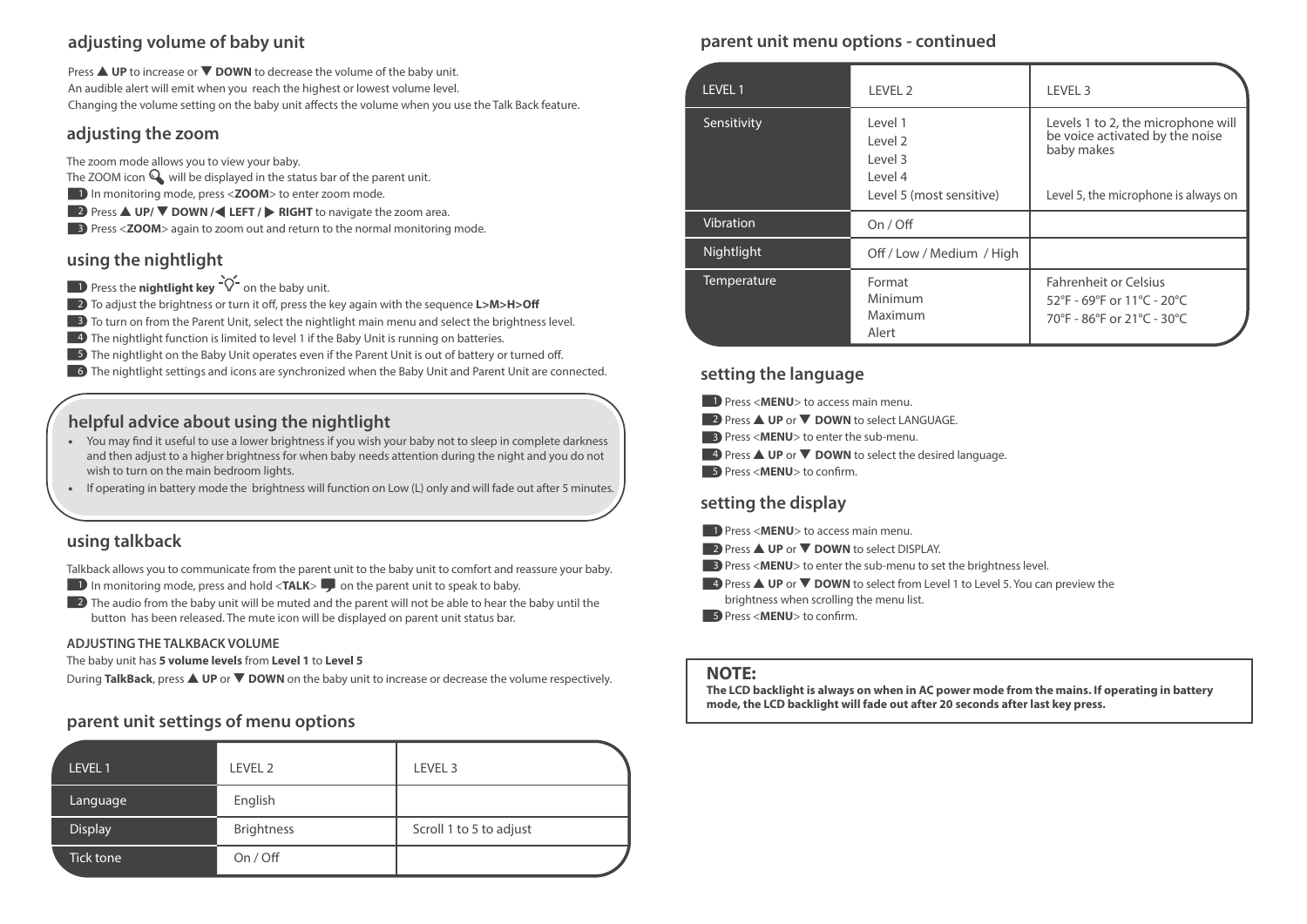### **adjusting volume of baby unit**

Press ▲ **UP** to increase or ▼ **DOWN** to decrease the volume of the baby unit. An audible alert will emit when you reach the highest or lowest volume level. Changing the volume setting on the baby unit affects the volume when you use the Talk Back feature.

#### **adjusting the zoom**

The zoom mode allows you to view your baby.

- The ZOOM icon  $\mathbb Q$  will be displayed in the status bar of the parent unit.
- 1 In monitoring mode, press <**ZOOM**> to enter zoom mode.
- **2** Press **△ UP/ ▼ DOWN / LEFT / ▶ RIGHT** to navigate the zoom area.
- **3** Press <**ZOOM**> again to zoom out and return to the normal monitoring mode.

### **using the nightlight**

- **1** Press the **nightlight key**  $\forall$  on the baby unit.
- **2** To adjust the brightness or turn it off, press the key again with the sequence **L>M>H>Off**
- **3** To turn on from the Parent Unit, select the nightlight main menu and select the brightness level.
- **4** The nightlight function is limited to level 1 if the Baby Unit is running on batteries.
- **5)** The nightlight on the Baby Unit operates even if the Parent Unit is out of battery or turned off.
- 6 The nightlight settings and icons are synchronized when the Baby Unit and Parent Unit are connected.

### **helpful advice about using the nightlight**

- You may find it useful to use a lower brightness if you wish your baby not to sleep in complete darkness and then adjust to a higher brightness for when baby needs attention during the night and you do not wish to turn on the main bedroom lights.
- If operating in battery mode the brightness will function on Low (L) only and will fade out after 5 minutes.

### **using talkback**

Talkback allows you to communicate from the parent unit to the baby unit to comfort and reassure your baby.

- **1** In monitoring mode, press and hold <**TALK**> **D** on the parent unit to speak to baby.
- **2** The audio from the baby unit will be muted and the parent will not be able to hear the baby until the button has been released. The mute icon will be displayed on parent unit status bar.

#### **ADJUSTING THE TALKBACK VOLUME**

The baby unit has **5 volume levels** from **Level 1** to **Level 5**

During **TalkBack**, press ▲ **UP** or ▼ **DOWN** on the baby unit to increase or decrease the volume respectively. **NOTE:** 

### **parent unit settings of menu options**

| LEVEL 1        | LEVEL <sub>2</sub> | LEVEL <sub>3</sub>      |
|----------------|--------------------|-------------------------|
| Language       | English            |                         |
| <b>Display</b> | <b>Brightness</b>  | Scroll 1 to 5 to adjust |
| Tick tone      | On / Off           |                         |

### **parent unit menu options - continued**

| <b>LEVEL 1</b>     | LEVEL 2                                                                          | LEVEL 3                                                                                                                     |
|--------------------|----------------------------------------------------------------------------------|-----------------------------------------------------------------------------------------------------------------------------|
| Sensitivity        | l evel 1<br>Level <sub>2</sub><br>Level 3<br>Level 4<br>Level 5 (most sensitive) | Levels 1 to 2, the microphone will<br>be voice activated by the noise<br>baby makes<br>Level 5, the microphone is always on |
| Vibration          | On / Off                                                                         |                                                                                                                             |
| Nightlight         | Off / Low / Medium / High                                                        |                                                                                                                             |
| <b>Temperature</b> | Format<br>Minimum<br>Maximum<br>Alert                                            | <b>Fahrenheit or Celsius</b><br>52°F - 69°F or 11°C - 20°C<br>70°F - 86°F or 21°C - 30°C                                    |

### **setting the language**

- **D** Press <**MENU**> to access main menu.
- 2 Press ▲ UP or ▼ DOWN to select LANGUAGE.
- **B** Press <**MENU**> to enter the sub-menu.
- 4 Press ▲ UP or ▼ DOWN to select the desired language.
- **5** Press <**MENU**> to confirm.

### **setting the display**

**1** Press <**MENU**> to access main menu.

■ 2 Press ▲ UP or ▼ DOWN to select DISPLAY.

- **B** Press <**MENU**> to enter the sub-menu to set the brightness level.
- 4 Press ▲ UP or ▼ DOWN to select from Level 1 to Level 5. You can preview the brightness when scrolling the menu list.
- **5** Press <**MENU**> to confirm.

**The LCD backlight is always on when in AC power mode from the mains. If operating in battery mode, the LCD backlight will fade out after 20 seconds after last key press.**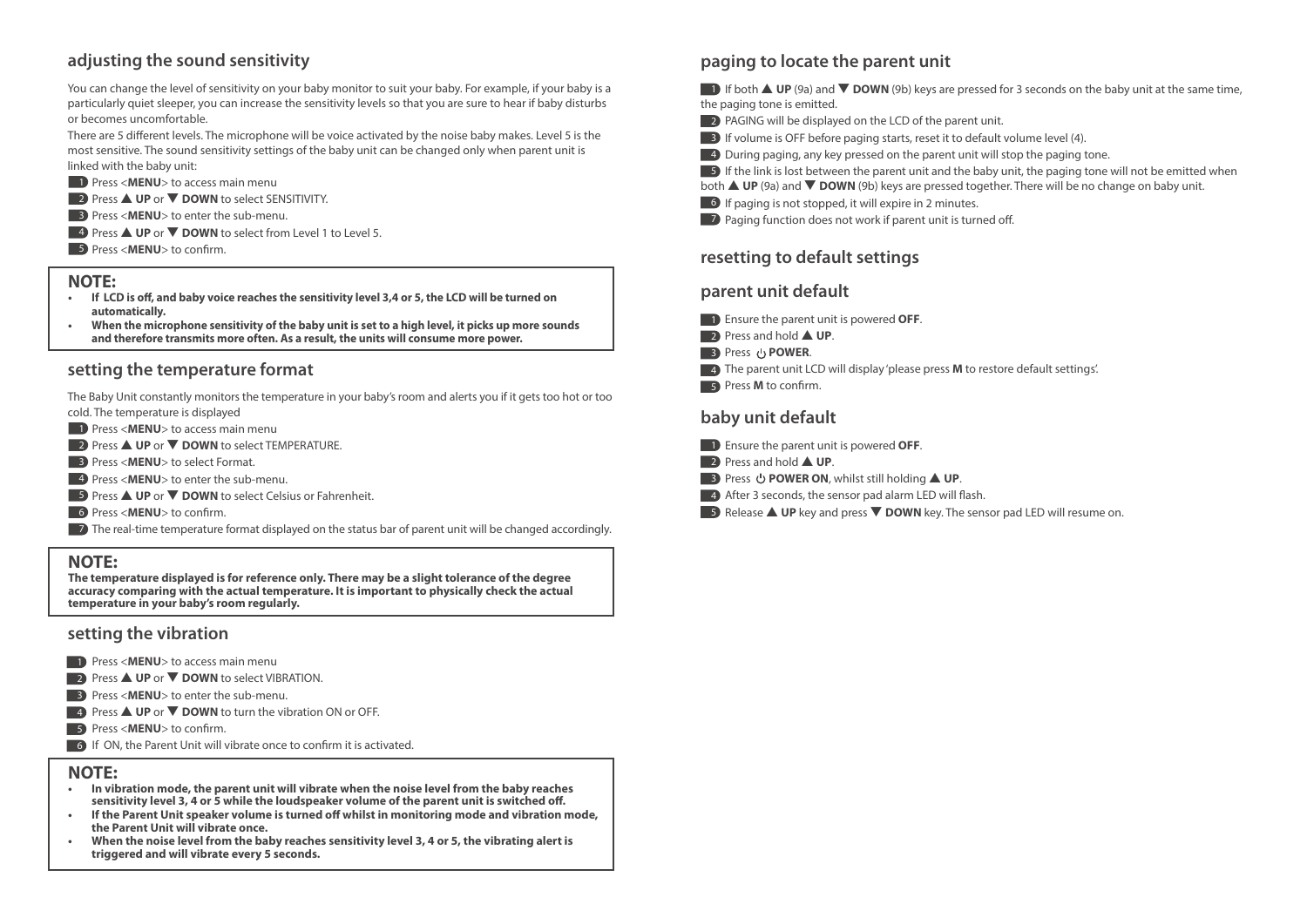### **adjusting the sound sensitivity**

You can change the level of sensitivity on your baby monitor to suit your baby. For example, if your baby is a particularly quiet sleeper, you can increase the sensitivity levels so that you are sure to hear if baby disturbs or becomes uncomfortable.

There are 5 different levels. The microphone will be voice activated by the noise baby makes. Level 5 is the most sensitive. The sound sensitivity settings of the baby unit can be changed only when parent unit is linked with the baby unit:

- **1** Press <**MENU**> to access main menu
- 2 Press ▲ UP or ▼ DOWN to select SENSITIVITY.
- **3** Press <**MENU**> to enter the sub-menu.
- **4** Press **△ UP** or ▼ DOWN to select from Level 1 to Level 5.
- **5** Press <**MENU**> to confirm.

#### **NOTE:**

- If LCD is off, and baby voice reaches the sensitivity level 3,4 or 5, the LCD will be turned on  **automatically.**
- **When the microphone sensitivity of the baby unit is set to a high level, it picks up more sounds and therefore transmits more often. As a result, the units will consume more power.**

#### **setting the temperature format**

The Baby Unit constantly monitors the temperature in your baby's room and alerts you if it gets too hot or too cold. The temperature is displayed

- **1** Press <**MENU**> to access main menu
- 2 Press ▲ UP or ▼ DOWN to select TEMPERATURE.
- **3** Press <**MENU**> to select Format.
- 4 Press <**MENU**> to enter the sub-menu.
- **5** Press **△ UP** or ▼ **DOWN** to select Celsius or Fahrenheit.
- **6** Press <**MENU**> to confirm.
- 7 The real-time temperature format displayed on the status bar of parent unit will be changed accordingly.

#### **NOTE:**

**The temperature displayed is for reference only. There may be a slight tolerance of the degree accuracy comparing with the actual temperature. It is important to physically check the actual temperature in your baby's room regularly.** 

#### **setting the vibration**

- 1 Press <MENU> to access main menu
- **2** Press **▲ UP** or ▼ DOWN to select VIBRATION.
- 3 Press <**MENU**> to enter the sub-menu.
- **4** Press **△ UP** or ▼ **DOWN** to turn the vibration ON or OFF.
- 5 Press <**MENU**> to confirm.
- **6** If ON, the Parent Unit will vibrate once to confirm it is activated.

#### **NOTE:**

- **In vibration mode, the parent unit will vibrate when the noise level from the baby reaches**  sensitivity level 3, 4 or 5 while the loudspeaker volume of the parent unit is switched off.
- If the Parent Unit speaker volume is turned off whilst in monitoring mode and vibration mode,  **the Parent Unit will vibrate once.**
- **When the noise level from the baby reaches sensitivity level 3, 4 or 5, the vibrating alert is triggered and will vibrate every 5 seconds.**

### **paging to locate the parent unit**

**1** If both **△ UP** (9a) and ▼ **DOWN** (9b) keys are pressed for 3 seconds on the baby unit at the same time, the paging tone is emitted.

- 2 PAGING will be displayed on the LCD of the parent unit.
- 3 If volume is OFF before paging starts, reset it to default volume level (4).
- **4** During paging, any key pressed on the parent unit will stop the paging tone.
- **5** If the link is lost between the parent unit and the baby unit, the paging tone will not be emitted when
- both ▲ **UP** (9a) and ▼ **DOWN** (9b) keys are pressed together. There will be no change on baby unit.
- 6 If paging is not stopped, it will expire in 2 minutes.
- **7** Paging function does not work if parent unit is turned off.

### **resetting to default settings**

### **parent unit default**

- 1 Ensure the parent unit is powered **OFF**.
- 2 Press and hold ▲ UP.
- **B** Press **b** POWER.
- **4** The parent unit LCD will display 'please press **M** to restore default settings'.
- 5 Press **M** to confirm.

### **baby unit default**

- 1 Ensure the parent unit is powered **OFF**.
- 2 **Press and hold ▲ UP**.
- **3** Press **少 POWER ON**, whilst still holding **▲ UP**.
- **4** After 3 seconds, the sensor pad alarm LED will flash.
- **5** Release **▲ UP** key and press ▼ DOWN key. The sensor pad LED will resume on.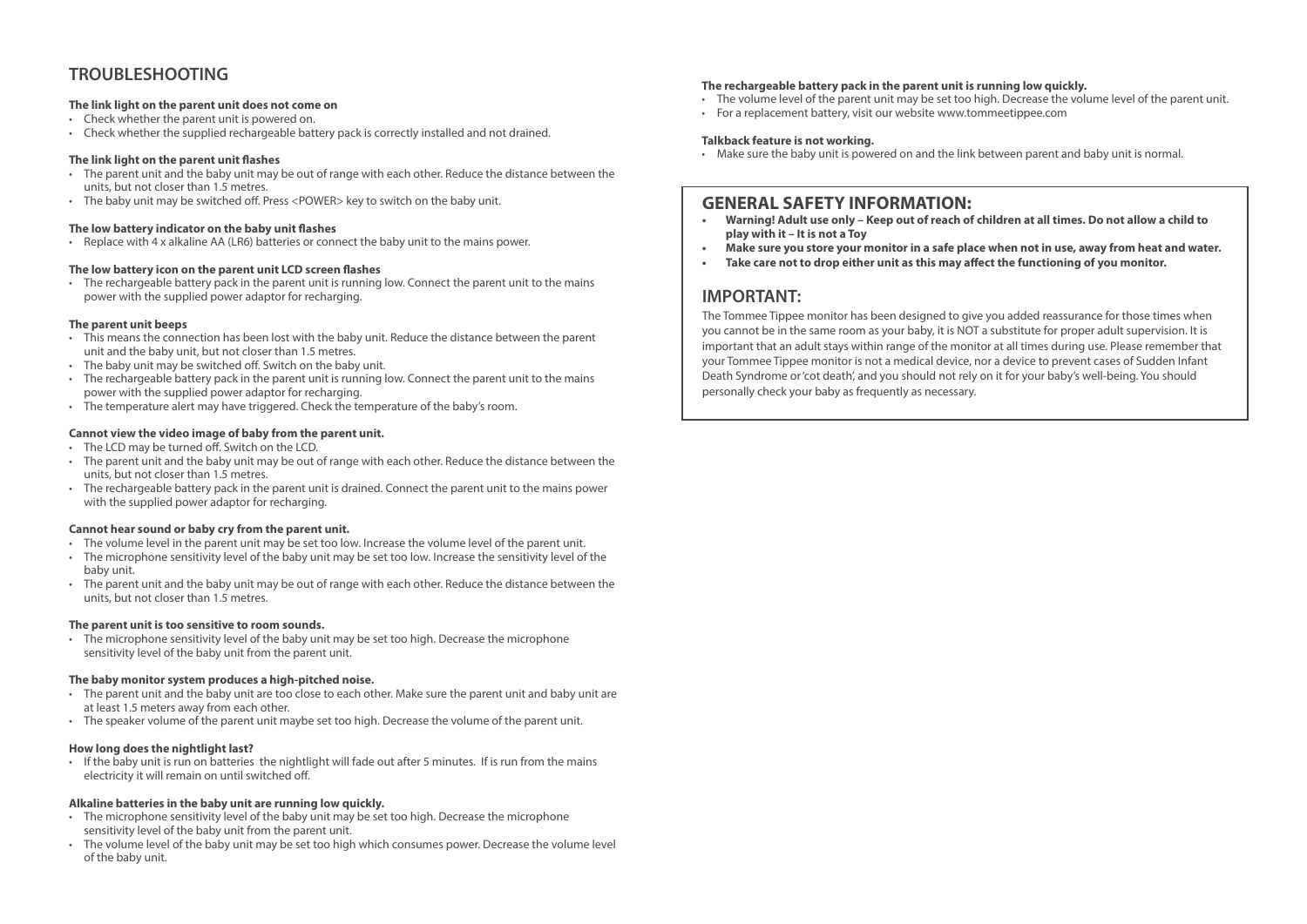### **TROUBLESHOOTING**

#### **The link light on the parent unit does not come on**

- Check whether the parent unit is powered on.
- Check whether the supplied rechargeable battery pack is correctly installed and not drained.

#### **The link light on the parent unit flashes**

- The parent unit and the baby unit may be out of range with each other. Reduce the distance between the units, but not closer than 1.5 metres.
- The baby unit may be switched off. Press <POWER> key to switch on the baby unit.

#### **The low battery indicator on the baby unit flashes**

• Replace with 4 x alkaline AA (LR6) batteries or connect the baby unit to the mains power.

#### The low battery icon on the parent unit LCD screen flashes

• The rechargeable battery pack in the parent unit is running low. Connect the parent unit to the mains power with the supplied power adaptor for recharging.

#### **The parent unit beeps**

- This means the connection has been lost with the baby unit. Reduce the distance between the parent unit and the baby unit, but not closer than 1.5 metres.
- $\cdot$  The baby unit may be switched off. Switch on the baby unit.
- The rechargeable battery pack in the parent unit is running low. Connect the parent unit to the mains power with the supplied power adaptor for recharging.
- The temperature alert may have triggered. Check the temperature of the baby's room.

#### **Cannot view the video image of baby from the parent unit.**

- The LCD may be turned off. Switch on the LCD.
- The parent unit and the baby unit may be out of range with each other. Reduce the distance between the units, but not closer than 1.5 metres.
- The rechargeable battery pack in the parent unit is drained. Connect the parent unit to the mains power with the supplied power adaptor for recharging.

#### **Cannot hear sound or baby cry from the parent unit.**

- The volume level in the parent unit may be set too low. Increase the volume level of the parent unit.
- The microphone sensitivity level of the baby unit may be set too low. Increase the sensitivity level of the baby unit.
- The parent unit and the baby unit may be out of range with each other. Reduce the distance between the units, but not closer than 1.5 metres.

#### **The parent unit is too sensitive to room sounds.**

• The microphone sensitivity level of the baby unit may be set too high. Decrease the microphone sensitivity level of the baby unit from the parent unit.

#### **The baby monitor system produces a high-pitched noise.**

- The parent unit and the baby unit are too close to each other. Make sure the parent unit and baby unit are at least 1.5 meters away from each other.
- The speaker volume of the parent unit maybe set too high. Decrease the volume of the parent unit.

#### **How long does the nightlight last?**

• If the baby unit is run on batteries the nightlight will fade out after 5 minutes. If is run from the mains electricity it will remain on until switched off.

#### **Alkaline batteries in the baby unit are running low quickly.**

- The microphone sensitivity level of the baby unit may be set too high. Decrease the microphone sensitivity level of the baby unit from the parent unit.
- The volume level of the baby unit may be set too high which consumes power. Decrease the volume level of the baby unit.

#### **The rechargeable battery pack in the parent unit is running low quickly.**

- The volume level of the parent unit may be set too high. Decrease the volume level of the parent unit.
- For a replacement battery, visit our website www.tommeetippee.com

#### **Talkback feature is not working.**

• Make sure the baby unit is powered on and the link between parent and baby unit is normal.

# **GENERAL SAFETY INFORMATION:**<br>• Warning! Adult use only - Keep out of reach of

- **Warning! Adult use only Keep out of reach of children at all times. Do not allow a child to play with it – It is not a Toy**
- **Make sure you store your monitor in a safe place when not in use, away from heat and water.**
- Take care not to drop either unit as this may affect the functioning of you monitor.

#### **IMPORTANT:**

The Tommee Tippee monitor has been designed to give you added reassurance for those times when you cannot be in the same room as your baby, it is NOT a substitute for proper adult supervision. It is important that an adult stays within range of the monitor at all times during use. Please remember that your Tommee Tippee monitor is not a medical device, nor a device to prevent cases of Sudden Infant Death Syndrome or 'cot death', and you should not rely on it for your baby's well-being. You should personally check your baby as frequently as necessary.